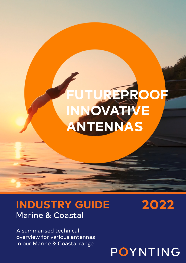# **UREPROOF INNOVATIVE ANTENNAS**

# **INDUSTRY GUIDE** Marine & Coastal

**2022**

A summarised technical overview for various antennas in our Marine & Coastal range

POYNTING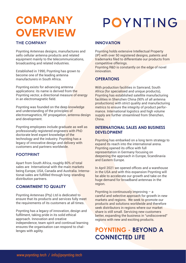# **COMPANY OVERVIEW**

## THE COMPANY

Poynting Antennas designs, manufactures and sells cellular antenna products and related equipment mainly to the telecommunications, broadcasting and related industries.

Established in 1990, Poynting has grown to become one of the leading antenna manufacturers in South Africa.

Poynting exists for advancing antenna applications: its name is derived from the Poynting vector, a directional measure of energy in an electromagnetic field.

Poynting was founded on the deep knowledge and understanding of the principles of electromagnetics, RF propagation, antenna design and development.

Poynting employees include graduate as well as professionally registered engineers with PhD doctorate level expert knowledge of the technology and the industry. Poynting has a legacy of innovative design and delivery with customers and partners worldwide.

### FOOTPRINT

Apart from South Africa, roughly 80% of total sales are International with the main markets being Europe, USA, Canada and Australia. International sales are fulfilled through long-standing distribution partners.

### **COMMITMENT TO QUALITY**

Poynting Antennas (Pty) Ltd is dedicated to ensure that its products and services fully meet the requirements of its customers at all times.

Poynting has a legacy of innovation, design and fulfilment, taking pride in its solid ethical approach. Innovation and creative independence, team spirit and continual learning ensures the organisation can respond to challenges with agility.

# POYNTING

### **INNOVATION**

Poynting holds extensive Intellectual Property (IP) with over 50 registered designs, patents and trademarks filed to differentiate our products from competitive offerings.

Poynting R&D is constantly on the edge of novel innovation.

### **OPERATIONS**

With production facilities in Samrand, South Africa (for specialised and unique products). Poynting has established satellite manufacturing facilities in Shenzhen China (90% of all antenna productions) with strict quality and manufacturing metrics to ensure the integrity of product performance. International logistics and high volume supply are further streamlined from Shenzhen. China.

### **INTERNATIONAL SALES AND BUSINESS DEVELOPMENT**

Poynting has embarked on a long term strategy to expand its reach into the international arena. Poynting opened its office with full representation in Germany focusing on deepening the approach in Europe, Scandinavia and Eastern Europe.

In April 2021 we opened offices and a warehouse in the USA and with this expansion Poynting will be able to accelerate our growth and take on the huge demand for broadband antennas in the region.

Poynting is continuously improving – a careful and selective approach for growth in new markets and regions. We seek to promote our products and solutions worldwide and therefore seek distributors in regions where our market share is still small. Servicing new customers better, expanding the business in "undiscovered" regions with new and exciting products.

## **POYNTING - BEYOND A CONNECTED LIFE**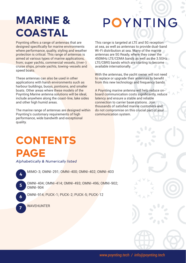# **MARINE & COASTAL**

Poynting offers a range of antennas that are designed specifically for marine environments where performance, quality, styling and weather protection is critical. This range of antennas is aimed at various types of marine applications, from; super yachts, commercial vessels, (river-) cruise ships, private yachts, towing-vessels and speed boats.

These antennas can also be used in other applications with harsh environments such as harbour buildings, buoys, pontoons, and smaller boats. Other areas where these models of the Poynting Marine antenna solutions will be ideal, include anywhere along the coast-line, lake sides and other high humid areas.

The marine range of antennas are designed within Poynting's customary requirements of high performance, wide bandwith and exceptional quality.

# POYNTING

This range is targeted at LTE and 5G reception at sea, as well as antennas to provide dual-band Wi-Fi distribution at sea. Many of the marine antennas are 5G Ready, where they cover the 450MHz LTE/CDMA bands as well as the 3.5GHz LTE/CBRS bands which are starting to become available internationally.

With the antennas, the yacht owner will not need to replace or upgrade their antennas to benefit from this new technology and frequency bands.

A Poynting marine antenna will help reduce onboard communication costs significantly, reduce latency and ensure a stable and reliable connection to carrier base stations. Join thousands of satisfied marine customers and do not compromise on this crucial part of your communication system.

 $\blacksquare$ 

# **CONTENTS PAGE**

*Alphabetically & Numerically listed*

MIMO-3; OMNI-291; OMNI-400; OMNI-402; OMNI-403 **<sup>4</sup>**

- OMNI-404; OMNI-414; OMNI-493; OMNI-496; OMNI-902; OMNI-904
- OMNI-914; PUCK-1; PUCK-2; PUCK-5; PUCK-12
- **7** WAVEHUNTER

**5**

**6**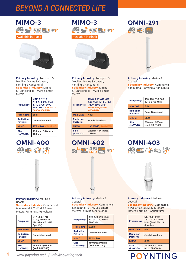## **MIMO-3**<br><u>AG</u> 5<sup>2</sup> (121) **WIFI** as Available in Black



**Primary Industry:** Transport & Mobility; Marine & Coastal; Farming & Agricultural **Secondary Industry:** Mining & Tunnelling; IoT, M2M & Smart Meters

| Frequency:                   | MIMO-3-12/13:<br>410-470: 698-960:<br>1710-2700: 3400-<br>3800 MHz: MIMO-3-14:<br>5000-6000 MHz |
|------------------------------|-------------------------------------------------------------------------------------------------|
| <b>Max Gain:</b>             | 6dBi                                                                                            |
| <b>Radiation</b><br>Pattern: | <b>Omni-Directional</b>                                                                         |
| MIMO:                        | <b>2X2 MIMO: 4X4 MIMO</b>                                                                       |
| <b>Size</b><br>(LxWxD):      | 253mm x 144mm x<br><b>128mm</b>                                                                 |

## **OMNI-400** AG WEI GO AT



#### **Primary Industry:** Marine & Coastal

**Secondary Industry:** Commercial & Industrial; IoT, M2M & Smart Meters; Farming & Agricultural

| Frequency:                   | 617-960: 1710-<br>2170: 2300-2700<br>MHz (Band 71- US<br>Specific) |
|------------------------------|--------------------------------------------------------------------|
| <b>Max Gain:</b>             | 7.5dBi                                                             |
| <b>Radiation</b><br>Pattern: | <b>Omni-Directional</b>                                            |
| <b>MIMO:</b>                 | <b>SISO</b>                                                        |
| <b>Size</b><br>(LxWxD):      | 555mm x 075mm<br>(excl. BRKT-40)                                   |





**Primary Industry:** Transport & Mobility; Marine & Coastal; Farming & Agricultural **Secondary Industry:** Mining

& Tunnelling; IoT, M2M & Smart **Meters** 

| <b>Frequency:</b>            | MIMO-3-15; 410-470;<br>698-960: 1710-2700:<br>3400-3800 MHz;<br>MIMO-3-17: 5000-<br><b>6000 MHz</b> |
|------------------------------|-----------------------------------------------------------------------------------------------------|
| <b>Max Gain:</b>             | 6dBi                                                                                                |
| <b>Radiation</b><br>Pattern: | <b>Omni-Directional</b>                                                                             |
| MIMO:                        | <b>2X2 MIMO: 4X4 MIMO</b>                                                                           |
| <b>Size</b><br>(LxWxD):      | 253mm x 144mm x<br><b>128mm</b>                                                                     |

# **OMNI-402 OMNI-403**





#### **Primary Industry:** Marine & Coastal

**Secondary Industry:** Commercial & Industrial; IoT, M2M & Smart Meters; Farming & Agricultural

| Frequency:                   | 410-470: 698-960:<br>1710-2700: 3400-<br>3800 MHz |
|------------------------------|---------------------------------------------------|
| <b>Max Gain:</b>             | 6.2dBi                                            |
| <b>Radiation</b><br>Pattern: | <b>Omni-Directional</b>                           |
| MIMO:                        | 2X2 MIMO                                          |
| <b>Size</b><br>(LxWxD):      | 750mm x 075mm<br>(excl. BRKT-40)                  |

## **OMNI-291** 4G W Fi 450



**Secondary Industry:** Commercial & Industrial; Farming & Agricultural

| Frequency:                   | 450-470; 698-960;<br>1710-2700 MHz |
|------------------------------|------------------------------------|
| <b>Max Gain:</b>             | 7dBi                               |
| <b>Radiation</b><br>Pattern: | <b>Omni-Directional</b>            |
| <b>MIMO:</b>                 | <b>SISO</b>                        |
| <b>Size</b><br>(LxWxD):      | 560mm x 075mm<br>(excl. BRKT-40)   |





**Primary Industry:** Marine & Coastal **Secondary Industry:** Commercial & Industrial; IoT, M2M & Smart

Meters; Farming & Agricultural

| Frequency:                   | 617-960: 1427-<br>1517: 1710-2700<br>MHz (Band 71- US<br>Specific) |
|------------------------------|--------------------------------------------------------------------|
| <b>Max Gain:</b>             | 5dBi                                                               |
| <b>Radiation</b><br>Pattern: | <b>Omni-Directional</b>                                            |
| MIMO:                        | <b>SISO</b>                                                        |
| <b>Size</b><br>(LxWxD):      | 252mm x 075mm<br>(excl. BRKT-40)                                   |

**POYNTING**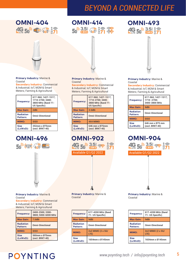



#### **Primary Industry:** Marine & Coastal

**Secondary Industry:** Commercial & Industrial; IoT, M2M & Smart Meters; Farming & Agricultural

| Frequency:                   | 617-960: 1427-1517:<br>1710-2700: 3400-<br>3800 MHz (Band 71-<br>US Specific) |
|------------------------------|-------------------------------------------------------------------------------|
| <b>Max Gain:</b>             | 2dBi                                                                          |
| <b>Radiation</b><br>Pattern: | <b>Omni-Directional</b>                                                       |
| MIMO:                        | <b>SISO</b>                                                                   |
| <b>Size</b><br>(LxWxD):      | 252mm x 075mm<br>(excl. BRKT-40)                                              |

## **OMNI-496 Sep (M2M)** ( 3 MIE)





#### **Primary Industry:** Marine & Coastal

**Secondary Industry:** Commercial & Industrial; IoT, M2M & Smart Meters; Farming & Agricultural

| Frequency:                   | 617-960; 1427-1517;<br>1710-2700: 3400-<br>3800 MHz (Band 71-<br>US Specific) |
|------------------------------|-------------------------------------------------------------------------------|
| <b>Max Gain:</b>             | 3.5dBi                                                                        |
| <b>Radiation</b><br>Pattern: | <b>Omni-Directional</b>                                                       |
| MIMO:                        | <b>4X4 MIMO</b>                                                               |
| <b>Size</b><br>(LxWxD):      | 646 mm x Ø75mm<br>(excl. BRKT-40)                                             |

# **OMNI-902** Available Q1/Q2 2022

**Primary Industry:** Marine & Coastal

**Secondary Industry:** Commercial & Industrial; IoT, M2M & Smart Meters; Farming & Agricultural

| Frequency:                   | 2400-2500; 3300-<br>3800; 5000-6000 MHz |
|------------------------------|-----------------------------------------|
| <b>Max Gain:</b>             | 7.5dBi                                  |
| <b>Radiation</b><br>Pattern: | <b>Omni-Directional</b>                 |
| MIMO:                        | <b>SISO</b>                             |
| <b>Size</b><br>(LxWxD):      | 560mm x 075mm<br>(excl. BRKT-40)        |

**Primary Industry:** Marine & Coastal

| Frequency:                   | 617-4200 MHz (Band<br>71- US Specific) |
|------------------------------|----------------------------------------|
| <b>Max Gain:</b>             | 9dBi                                   |
| <b>Radiation</b><br>Pattern: | <b>Omni-Directional</b>                |
| <b>MIMO:</b>                 | 2x2 MIMO (2 x 5G/<br>LTE)              |
| <b>Size</b><br>(LxWxD):      | 1654mm x 0145mm                        |

#### **Primary Industry:** Marine & Coastal

**Secondary Industry:** Commercial & Industrial; IoT, M2M & Smart Meters; Farming & Agricultural

| Frequency:                   | 617-960; 1427-1517;<br>1710 - 2700:<br>3400-3800 MHz |
|------------------------------|------------------------------------------------------|
| <b>Max Gain:</b>             | 9dBi                                                 |
| <b>Radiation</b><br>Pattern: | <b>Omni-Directional</b>                              |
| <b>MIMO:</b>                 | <b>SISO</b>                                          |
| <b>Size</b><br>(LxWxD):      | 646 mm x 075 mm<br>(excl. BRKT-40)                   |



**Primary Industry:** Marine & Coastal

| Frequency:                   | 617-4200 MHz (Band<br>71- US Specific) |
|------------------------------|----------------------------------------|
| <b>Max Gain:</b>             | 9dBi                                   |
| <b>Radiation</b><br>Pattern: | <b>Omni-Directional</b>                |
| MIMO:                        | 2x2 MIMO (2 x 5G/<br>LTE)              |
| <b>Size</b><br>(LxWxD):      | 1654mm x 0145mm                        |

# POYNTING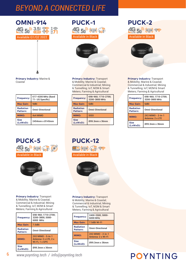

## **PUCK-1 AG Feb (WEN)** (1976) Available in Black



**Primary Industry:** Transport & Mobility; Marine & Coastal; Commercial & Industrial; Mining & Tunnelling; IoT, M2M & Smart Meters; Farming & Agricultural

| Frequency:                   | 698-960; 1710-2700;<br>3200-3800 MHz |
|------------------------------|--------------------------------------|
| <b>Max Gain:</b>             | 6dBi                                 |
| <b>Radiation</b><br>Pattern: | <b>Omni-Directional</b>              |
| MIMO:                        | <b>SISO</b>                          |
| <b>Size</b><br>(LxWxD):      | 099.3mm x 36mm                       |

# **PUCK-2**<br>4G 50 (ಚಿಪ್ರ 35

Available in Black



**Primary Industry:** Transport & Mobility; Marine & Coastal; Commercial & Industrial; Mining & Tunnelling; IoT, M2M & Smart Meters; Farming & Agricultural

| Frequency:                   | 698-960: 1710-2700:<br>3200-3800 MHz  |
|------------------------------|---------------------------------------|
| <b>Max Gain:</b>             | 6dBi                                  |
| <b>Radiation</b><br>Pattern: | <b>Omni-Directional</b>               |
| MIMO:                        | 2X2 MIMO - 2-in-1<br>Antenna: 2 x LTE |
| <b>Size</b><br>(LxWxD):      | 099.3mm x 36mm                        |

**Primary Industry:** Marine & Coastal

| Frequency:                   | 617-4200 MHz (Band<br>71- US Specific) |
|------------------------------|----------------------------------------|
| <b>Max Gain:</b>             | 9dBi                                   |
| <b>Radiation</b><br>Pattern: | <b>Omni-Directional</b>                |
| MIMO:                        | 4x4 MIMO                               |
| <b>Size</b><br>(LxWxD):      | 2454mm x 0145mm                        |





**Primary Industry:** Transport & Mobility; Marine & Coastal; Commercial & Industrial; Mining & Tunnelling; IoT, M2M & Smart Meters; Farming & Agricultural

| Frequency:                   | 698-960; 1710-2700;<br>3200-3800: 5000-<br>6000 MHz          |
|------------------------------|--------------------------------------------------------------|
| <b>Max Gain:</b>             | 7.5dBi                                                       |
| <b>Radiation</b><br>Pattern: | <b>Omni-Directional</b>                                      |
| MIMO:                        | 2X2 MIMO - 5-in-1<br>Antenna: 2 x LTE, 2 x<br>Wi-Fi, 1 x GPS |
| <b>Size</b><br>(LxWxD):      | 099.3mm x 36mm                                               |

**PUCK-12 WIEI (MZM) ( P PP** 



**Primary Industry:** Transport & Mobility; Marine & Coastal; Commercial & Industrial; Mining & Tunnelling; IoT, M2M & Smart Meters; Farming & Agricultural

| Frequency:                   | 2400-2500; 5000-<br>6000 MHz            |
|------------------------------|-----------------------------------------|
| <b>Max Gain:</b>             | 7.5dBi Wi-Fi                            |
| <b>Radiation</b><br>Pattern: | <b>Omni-Directional</b>                 |
| MIMO:                        | 2X2 MIMO - 2-in-1<br>Antenna: 2 x Wi-Fi |
| <b>Size</b><br>(LxWxD):      | 099.3mm x 36mm                          |

# **POYNTING**

6 *www.poynting.tech / info@poynting.tech*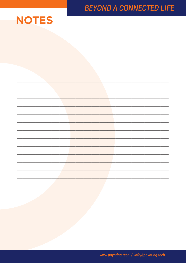

www.poynting.tech / info@poynting.tech